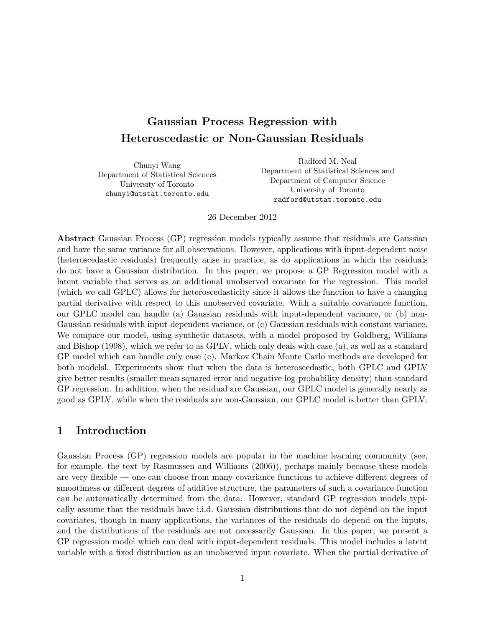## Gaussian Process Regression with Heteroscedastic or Non-Gaussian Residuals

Chunyi Wang Department of Statistical Sciences University of Toronto chunyi@utstat.toronto.edu

Radford M. Neal Department of Statistical Sciences and Department of Computer Science University of Toronto radford@utstat.toronto.edu

#### 26 December 2012

Abstract Gaussian Process (GP) regression models typically assume that residuals are Gaussian and have the same variance for all observations. However, applications with input-dependent noise (heteroscedastic residuals) frequently arise in practice, as do applications in which the residuals do not have a Gaussian distribution. In this paper, we propose a GP Regression model with a latent variable that serves as an additional unobserved covariate for the regression. This model (which we call GPLC) allows for heteroscedasticity since it allows the function to have a changing partial derivative with respect to this unobserved covariate. With a suitable covariance function, our GPLC model can handle (a) Gaussian residuals with input-dependent variance, or (b) non-Gaussian residuals with input-dependent variance, or (c) Gaussian residuals with constant variance. We compare our model, using synthetic datasets, with a model proposed by Goldberg, Williams and Bishop (1998), which we refer to as GPLV, which only deals with case (a), as well as a standard GP model which can handle only case (c). Markov Chain Monte Carlo methods are developed for both modelsl. Experiments show that when the data is heteroscedastic, both GPLC and GPLV give better results (smaller mean squared error and negative log-probability density) than standard GP regression. In addition, when the residual are Gaussian, our GPLC model is generally nearly as good as GPLV, while when the residuals are non-Gaussian, our GPLC model is better than GPLV.

## 1 Introduction

Gaussian Process (GP) regression models are popular in the machine learning community (see, for example, the text by Rasmussen and Williams (2006)), perhaps mainly because these models are very flexible — one can choose from many covariance functions to achieve different degrees of smoothness or different degrees of additive structure, the parameters of such a covariance function can be automatically determined from the data. However, standard GP regression models typically assume that the residuals have i.i.d. Gaussian distributions that do not depend on the input covariates, though in many applications, the variances of the residuals do depend on the inputs, and the distributions of the residuals are not necessarily Gaussian. In this paper, we present a GP regression model which can deal with input-dependent residuals. This model includes a latent variable with a fixed distribution as an unobserved input covariate. When the partial derivative of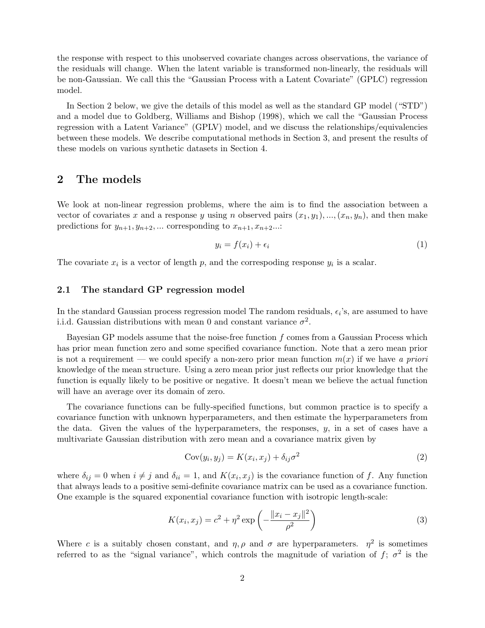the response with respect to this unobserved covariate changes across observations, the variance of the residuals will change. When the latent variable is transformed non-linearly, the residuals will be non-Gaussian. We call this the "Gaussian Process with a Latent Covariate" (GPLC) regression model.

In Section 2 below, we give the details of this model as well as the standard GP model ("STD") and a model due to Goldberg, Williams and Bishop (1998), which we call the "Gaussian Process regression with a Latent Variance" (GPLV) model, and we discuss the relationships/equivalencies between these models. We describe computational methods in Section 3, and present the results of these models on various synthetic datasets in Section 4.

### 2 The models

We look at non-linear regression problems, where the aim is to find the association between a vector of covariates x and a response y using n observed pairs  $(x_1, y_1), ..., (x_n, y_n)$ , and then make predictions for  $y_{n+1}, y_{n+2}, \dots$  corresponding to  $x_{n+1}, x_{n+2} \dots$ 

$$
y_i = f(x_i) + \epsilon_i \tag{1}
$$

The covariate  $x_i$  is a vector of length p, and the correspoding response  $y_i$  is a scalar.

#### 2.1 The standard GP regression model

In the standard Gaussian process regression model The random residuals,  $\epsilon_i$ 's, are assumed to have i.i.d. Gaussian distributions with mean 0 and constant variance  $\sigma^2$ .

Bayesian GP models assume that the noise-free function  $f$  comes from a Gaussian Process which has prior mean function zero and some specified covariance function. Note that a zero mean prior is not a requirement — we could specify a non-zero prior mean function  $m(x)$  if we have a priori knowledge of the mean structure. Using a zero mean prior just reflects our prior knowledge that the function is equally likely to be positive or negative. It doesn't mean we believe the actual function will have an average over its domain of zero.

The covariance functions can be fully-specified functions, but common practice is to specify a covariance function with unknown hyperparameters, and then estimate the hyperparameters from the data. Given the values of the hyperparameters, the responses,  $y$ , in a set of cases have a multivariate Gaussian distribution with zero mean and a covariance matrix given by

$$
Cov(y_i, y_j) = K(x_i, x_j) + \delta_{ij}\sigma^2
$$
\n(2)

where  $\delta_{ij} = 0$  when  $i \neq j$  and  $\delta_{ii} = 1$ , and  $K(x_i, x_j)$  is the covariance function of f. Any function that always leads to a positive semi-definite covariance matrix can be used as a covariance function. One example is the squared exponential covariance function with isotropic length-scale:

$$
K(x_i, x_j) = c^2 + \eta^2 \exp\left(-\frac{\|x_i - x_j\|^2}{\rho^2}\right)
$$
 (3)

Where c is a suitably chosen constant, and  $\eta$ ,  $\rho$  and  $\sigma$  are hyperparameters.  $\eta^2$  is sometimes referred to as the "signal variance", which controls the magnitude of variation of  $f$ ;  $\sigma^2$  is the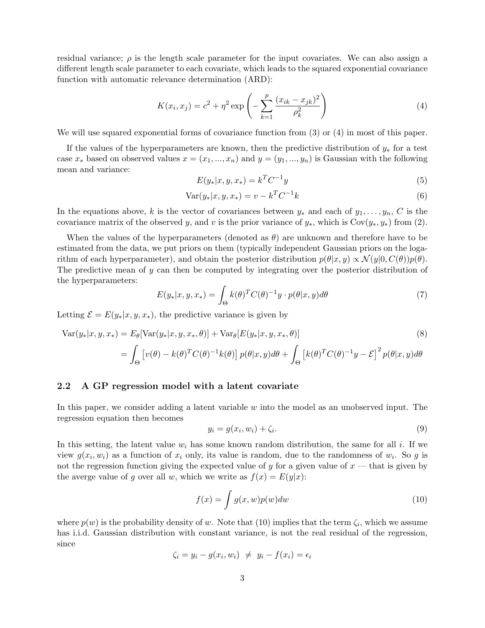residual variance;  $\rho$  is the length scale parameter for the input covariates. We can also assign a different length scale parameter to each covariate, which leads to the squared exponential covariance function with automatic relevance determination (ARD):

$$
K(x_i, x_j) = c^2 + \eta^2 \exp\left(-\sum_{k=1}^p \frac{(x_{ik} - x_{jk})^2}{\rho_k^2}\right)
$$
 (4)

We will use squared exponential forms of covariance function from  $(3)$  or  $(4)$  in most of this paper.

If the values of the hyperparameters are known, then the predictive distribution of  $y_*$  for a test case  $x_*$  based on observed values  $x = (x_1, ..., x_n)$  and  $y = (y_1, ..., y_n)$  is Gaussian with the following mean and variance:

$$
E(y_*|x, y, x_*) = k^T C^{-1} y \tag{5}
$$

$$
Var(y_*|x, y, x_*) = v - k^T C^{-1} k \tag{6}
$$

In the equations above, k is the vector of covariances between  $y_*$  and each of  $y_1, \ldots, y_n$ , C is the covariance matrix of the observed y, and v is the prior variance of  $y_*$ , which is Cov $(y_*, y_*)$  from (2).

When the values of the hyperparameters (denoted as  $\theta$ ) are unknown and therefore have to be estimated from the data, we put priors on them (typically independent Gaussian priors on the logarithm of each hyperparameter), and obtain the posterior distribution  $p(\theta|x, y) \propto \mathcal{N}(y|0, C(\theta))p(\theta)$ . The predictive mean of y can then be computed by integrating over the posterior distribution of the hyperparameters:

$$
E(y_*|x, y, x_*) = \int_{\Theta} k(\theta)^T C(\theta)^{-1} y \cdot p(\theta | x, y) d\theta \tag{7}
$$

Letting  $\mathcal{E} = E(y_*|x, y, x_*)$ , the predictive variance is given by

$$
Var(y_*|x, y, x_*) = E_{\theta}[Var(y_*|x, y, x_*, \theta)] + Var_{\theta}[E(y_*|x, y, x_*, \theta)]
$$
\n(8)

$$
= \int_{\Theta} \left[ v(\theta) - k(\theta)^T C(\theta)^{-1} k(\theta) \right] p(\theta | x, y) d\theta + \int_{\Theta} \left[ k(\theta)^T C(\theta)^{-1} y - \mathcal{E} \right]^2 p(\theta | x, y) d\theta
$$

#### 2.2 A GP regression model with a latent covariate

In this paper, we consider adding a latent variable w into the model as an unobserved input. The regression equation then becomes

$$
y_i = g(x_i, w_i) + \zeta_i. \tag{9}
$$

In this setting, the latent value  $w_i$  has some known random distribution, the same for all i. If we view  $g(x_i, w_i)$  as a function of  $x_i$  only, its value is random, due to the randomness of  $w_i$ . So g is not the regression function giving the expected value of y for a given value of  $x$  — that is given by the averge value of g over all w, which we write as  $f(x) = E(y|x)$ :

$$
f(x) = \int g(x, w)p(w)dw
$$
\n(10)

where  $p(w)$  is the probability density of w. Note that (10) implies that the term  $\zeta_i$ , which we assume has i.i.d. Gaussian distribution with constant variance, is not the real residual of the regression. since

$$
\zeta_i = y_i - g(x_i, w_i) \neq y_i - f(x_i) = \epsilon_i
$$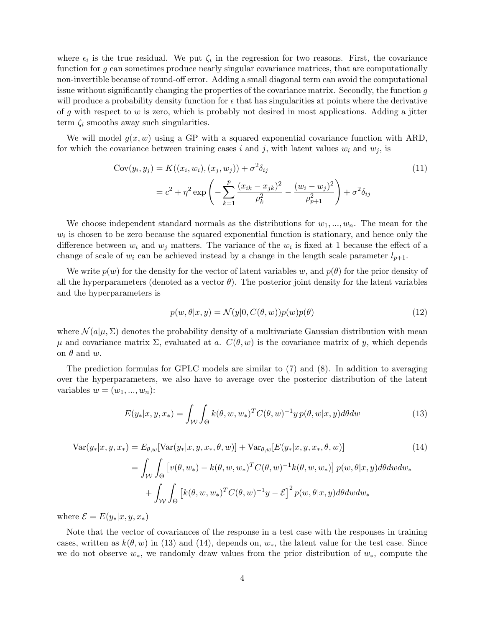where  $\epsilon_i$  is the true residual. We put  $\zeta_i$  in the regression for two reasons. First, the covariance function for g can sometimes produce nearly singular covariance matrices, that are computationally non-invertible because of round-off error. Adding a small diagonal term can avoid the computational issue without significantly changing the properties of the covariance matrix. Secondly, the function  $q$ will produce a probability density function for  $\epsilon$  that has singularities at points where the derivative of  $g$  with respect to  $w$  is zero, which is probably not desired in most applications. Adding a jitter term  $\zeta_i$  smooths away such singularities.

We will model  $g(x, w)$  using a GP with a squared exponential covariance function with ARD, for which the covariance between training cases i and j, with latent values  $w_i$  and  $w_j$ , is

$$
Cov(y_i, y_j) = K((x_i, w_i), (x_j, w_j)) + \sigma^2 \delta_{ij}
$$
  
=  $c^2 + \eta^2 \exp\left(-\sum_{k=1}^p \frac{(x_{ik} - x_{jk})^2}{\rho_k^2} - \frac{(w_i - w_j)^2}{\rho_{p+1}^2}\right) + \sigma^2 \delta_{ij}$  (11)

We choose independent standard normals as the distributions for  $w_1, ..., w_n$ . The mean for the  $w<sub>i</sub>$  is chosen to be zero because the squared exponential function is stationary, and hence only the difference between  $w_i$  and  $w_j$  matters. The variance of the  $w_i$  is fixed at 1 because the effect of a change of scale of  $w_i$  can be achieved instead by a change in the length scale parameter  $l_{p+1}$ .

We write  $p(w)$  for the density for the vector of latent variables w, and  $p(\theta)$  for the prior density of all the hyperparameters (denoted as a vector  $\theta$ ). The posterior joint density for the latent variables and the hyperparameters is

$$
p(w, \theta | x, y) = \mathcal{N}(y | 0, C(\theta, w)) p(w) p(\theta)
$$
\n(12)

where  $\mathcal{N}(a|\mu, \Sigma)$  denotes the probability density of a multivariate Gaussian distribution with mean  $\mu$  and covariance matrix Σ, evaluated at a.  $C(\theta, w)$  is the covariance matrix of y, which depends on  $\theta$  and  $w$ .

The prediction formulas for GPLC models are similar to (7) and (8). In addition to averaging over the hyperparameters, we also have to average over the posterior distribution of the latent variables  $w = (w_1, \ldots, w_n)$ :

$$
E(y_*|x, y, x_*) = \int_{\mathcal{W}} \int_{\Theta} k(\theta, w, w_*)^T C(\theta, w)^{-1} y p(\theta, w | x, y) d\theta dw \tag{13}
$$

$$
\text{Var}(y_*|x, y, x_*) = E_{\theta, w}[\text{Var}(y_*|x, y, x_*, \theta, w)] + \text{Var}_{\theta, w}[E(y_*|x, y, x_*, \theta, w)] \tag{14}
$$
\n
$$
= \int_{\mathcal{W}} \int_{\Theta} \left[ v(\theta, w_*) - k(\theta, w, w_*)^T C(\theta, w)^{-1} k(\theta, w, w_*) \right] p(w, \theta | x, y) d\theta dw dw_*
$$
\n
$$
+ \int_{\mathcal{W}} \int_{\Theta} \left[ k(\theta, w, w_*)^T C(\theta, w)^{-1} y - \mathcal{E} \right]^2 p(w, \theta | x, y) d\theta dw dw_*
$$

where  $\mathcal{E} = E(y_*|x, y, x_*)$ 

Note that the vector of covariances of the response in a test case with the responses in training cases, written as  $k(\theta, w)$  in (13) and (14), depends on,  $w_*,$  the latent value for the test case. Since we do not observe  $w_*,$  we randomly draw values from the prior distribution of  $w_*,$  compute the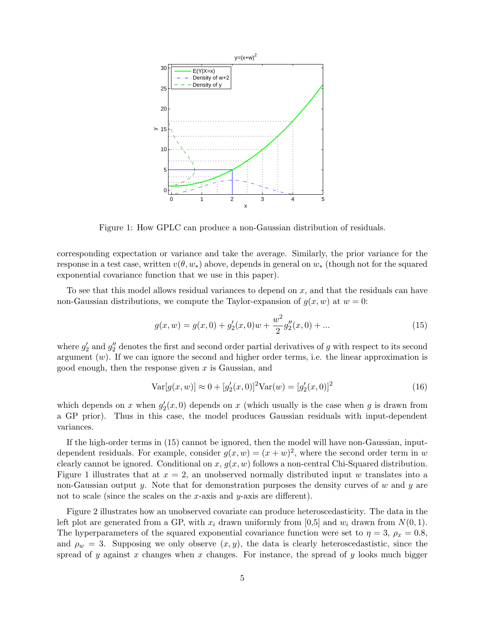

Figure 1: How GPLC can produce a non-Gaussian distribution of residuals.

corresponding expectation or variance and take the average. Similarly, the prior variance for the response in a test case, written  $v(\theta, w_*)$  above, depends in general on  $w_*$  (though not for the squared exponential covariance function that we use in this paper).

To see that this model allows residual variances to depend on x, and that the residuals can have non-Gaussian distributions, we compute the Taylor-expansion of  $g(x, w)$  at  $w = 0$ :

$$
g(x, w) = g(x, 0) + g'_2(x, 0)w + \frac{w^2}{2}g''_2(x, 0) + \dots
$$
\n(15)

where  $g'_2$  and  $g''_2$  denotes the first and second order partial derivatives of g with respect to its second argument  $(w)$ . If we can ignore the second and higher order terms, i.e. the linear approximation is good enough, then the response given  $x$  is Gaussian, and

$$
Var[g(x, w)] \approx 0 + [g_2'(x, 0)]^2 Var(w) = [g_2'(x, 0)]^2
$$
\n(16)

which depends on x when  $g'_2(x,0)$  depends on x (which usually is the case when g is drawn from a GP prior). Thus in this case, the model produces Gaussian residuals with input-dependent variances.

If the high-order terms in (15) cannot be ignored, then the model will have non-Gaussian, inputdependent residuals. For example, consider  $g(x, w) = (x + w)^2$ , where the second order term in w clearly cannot be ignored. Conditional on  $x, g(x, w)$  follows a non-central Chi-Squared distribution. Figure 1 illustrates that at  $x = 2$ , an unobserved normally distributed input w translates into a non-Gaussian output y. Note that for demonstration purposes the density curves of  $w$  and  $y$  are not to scale (since the scales on the x-axis and y-axis are different).

Figure 2 illustrates how an unobserved covariate can produce heteroscedasticity. The data in the left plot are generated from a GP, with  $x_i$  drawn uniformly from [0,5] and  $w_i$  drawn from  $N(0, 1)$ . The hyperparameters of the squared exponential covariance function were set to  $\eta = 3$ ,  $\rho_x = 0.8$ , and  $\rho_w = 3$ . Supposing we only observe  $(x, y)$ , the data is clearly heteroscedastistic, since the spread of y against x changes when x changes. For instance, the spread of y looks much bigger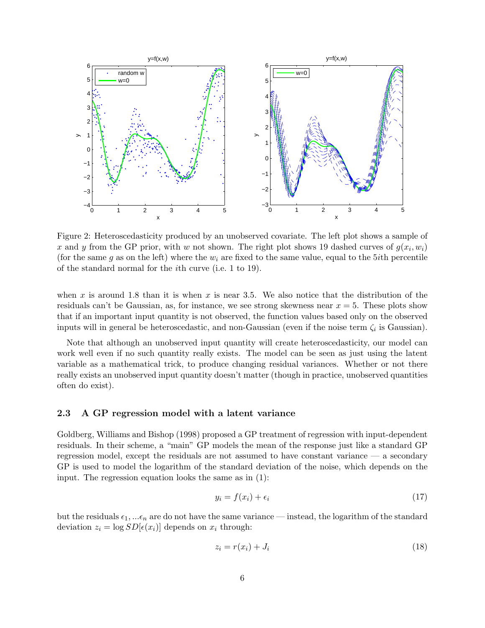

Figure 2: Heteroscedasticity produced by an unobserved covariate. The left plot shows a sample of x and y from the GP prior, with w not shown. The right plot shows 19 dashed curves of  $g(x_i, w_i)$ (for the same g as on the left) where the  $w_i$  are fixed to the same value, equal to the 5*i*th percentile of the standard normal for the ith curve (i.e. 1 to 19).

when x is around 1.8 than it is when x is near 3.5. We also notice that the distribution of the residuals can't be Gaussian, as, for instance, we see strong skewness near  $x = 5$ . These plots show that if an important input quantity is not observed, the function values based only on the observed inputs will in general be heteroscedastic, and non-Gaussian (even if the noise term  $\zeta_i$  is Gaussian).

Note that although an unobserved input quantity will create heteroscedasticity, our model can work well even if no such quantity really exists. The model can be seen as just using the latent variable as a mathematical trick, to produce changing residual variances. Whether or not there really exists an unobserved input quantity doesn't matter (though in practice, unobserved quantities often do exist).

#### 2.3 A GP regression model with a latent variance

Goldberg, Williams and Bishop (1998) proposed a GP treatment of regression with input-dependent residuals. In their scheme, a "main" GP models the mean of the response just like a standard GP regression model, except the residuals are not assumed to have constant variance — a secondary GP is used to model the logarithm of the standard deviation of the noise, which depends on the input. The regression equation looks the same as in (1):

$$
y_i = f(x_i) + \epsilon_i \tag{17}
$$

but the residuals  $\epsilon_1, \ldots \epsilon_n$  are do not have the same variance — instead, the logarithm of the standard deviation  $z_i = \log SD[\epsilon(x_i)]$  depends on  $x_i$  through:

$$
z_i = r(x_i) + J_i \tag{18}
$$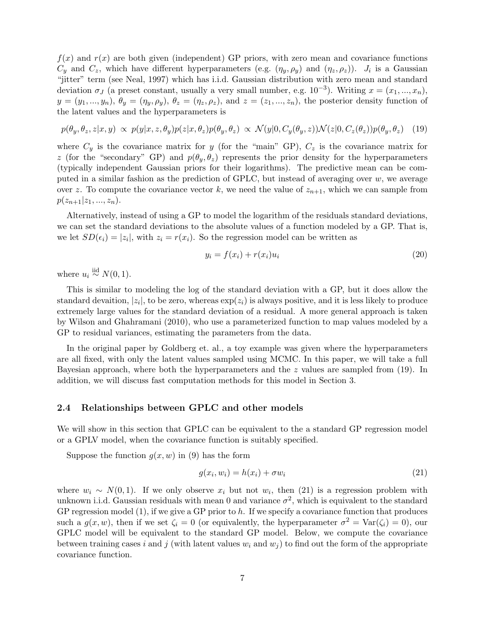$f(x)$  and  $r(x)$  are both given (independent) GP priors, with zero mean and covariance functions  $C_y$  and  $C_z$ , which have different hyperparameters (e.g.  $(\eta_y, \rho_y)$  and  $(\eta_z, \rho_z)$ ).  $J_i$  is a Gaussian "jitter" term (see Neal, 1997) which has i.i.d. Gaussian distribution with zero mean and standard deviation  $\sigma_J$  (a preset constant, usually a very small number, e.g.  $10^{-3}$ ). Writing  $x = (x_1, ..., x_n)$ ,  $y = (y_1, ..., y_n), \theta_y = (\eta_y, \rho_y), \theta_z = (\eta_z, \rho_z), \text{ and } z = (z_1, ..., z_n),$  the posterior density function of the latent values and the hyperparameters is

$$
p(\theta_y, \theta_z, z | x, y) \propto p(y | x, z, \theta_y) p(z | x, \theta_z) p(\theta_y, \theta_z) \propto \mathcal{N}(y | 0, C_y(\theta_y, z)) \mathcal{N}(z | 0, C_z(\theta_z)) p(\theta_y, \theta_z) \tag{19}
$$

where  $C_y$  is the covariance matrix for y (for the "main" GP),  $C_z$  is the covariance matrix for z (for the "secondary" GP) and  $p(\theta_y, \theta_z)$  represents the prior density for the hyperparameters (typically independent Gaussian priors for their logarithms). The predictive mean can be computed in a similar fashion as the prediction of GPLC, but instead of averaging over  $w$ , we average over z. To compute the covariance vector k, we need the value of  $z_{n+1}$ , which we can sample from  $p(z_{n+1}|z_1, ..., z_n).$ 

Alternatively, instead of using a GP to model the logarithm of the residuals standard deviations, we can set the standard deviations to the absolute values of a function modeled by a GP. That is, we let  $SD(\epsilon_i) = |z_i|$ , with  $z_i = r(x_i)$ . So the regression model can be written as

$$
y_i = f(x_i) + r(x_i)u_i \tag{20}
$$

where  $u_i \stackrel{\text{iid}}{\sim} N(0, 1)$ .

This is similar to modeling the log of the standard deviation with a GP, but it does allow the standard devaition,  $|z_i|$ , to be zero, whereas  $\exp(z_i)$  is always positive, and it is less likely to produce extremely large values for the standard deviation of a residual. A more general approach is taken by Wilson and Ghahramani (2010), who use a parameterized function to map values modeled by a GP to residual variances, estimating the parameters from the data.

In the original paper by Goldberg et. al., a toy example was given where the hyperparameters are all fixed, with only the latent values sampled using MCMC. In this paper, we will take a full Bayesian approach, where both the hyperparameters and the  $z$  values are sampled from (19). In addition, we will discuss fast computation methods for this model in Section 3.

#### 2.4 Relationships between GPLC and other models

We will show in this section that GPLC can be equivalent to the a standard GP regression model or a GPLV model, when the covariance function is suitably specified.

Suppose the function  $g(x, w)$  in (9) has the form

$$
g(x_i, w_i) = h(x_i) + \sigma w_i \tag{21}
$$

where  $w_i \sim N(0, 1)$ . If we only observe  $x_i$  but not  $w_i$ , then (21) is a regression problem with unknown i.i.d. Gaussian residuals with mean 0 and variance  $\sigma^2$ , which is equivalent to the standard GP regression model  $(1)$ , if we give a GP prior to h. If we specify a covariance function that produces such a  $g(x, w)$ , then if we set  $\zeta_i = 0$  (or equivalently, the hyperparameter  $\sigma^2 = \text{Var}(\zeta_i) = 0$ ), our GPLC model will be equivalent to the standard GP model. Below, we compute the covariance between training cases i and j (with latent values  $w_i$  and  $w_j$ ) to find out the form of the appropriate covariance function.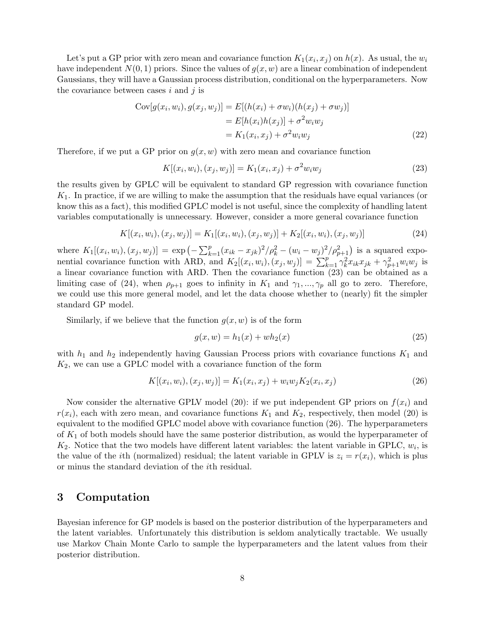Let's put a GP prior with zero mean and covariance function  $K_1(x_i, x_j)$  on  $h(x)$ . As usual, the  $w_i$ have independent  $N(0, 1)$  priors. Since the values of  $g(x, w)$  are a linear combination of independent Gaussians, they will have a Gaussian process distribution, conditional on the hyperparameters. Now the covariance between cases  $i$  and  $j$  is

$$
Cov[g(x_i, w_i), g(x_j, w_j)] = E[(h(x_i) + \sigma w_i)(h(x_j) + \sigma w_j)]
$$
  
= 
$$
E[h(x_i)h(x_j)] + \sigma^2 w_i w_j
$$
  
= 
$$
K_1(x_i, x_j) + \sigma^2 w_i w_j
$$
 (22)

Therefore, if we put a GP prior on  $g(x, w)$  with zero mean and covariance function

$$
K[(x_i, w_i), (x_j, w_j)] = K_1(x_i, x_j) + \sigma^2 w_i w_j \tag{23}
$$

the results given by GPLC will be equivalent to standard GP regression with covariance function  $K<sub>1</sub>$ . In practice, if we are willing to make the assumption that the residuals have equal variances (or know this as a fact), this modified GPLC model is not useful, since the complexity of handling latent variables computationally is unnecessary. However, consider a more general covariance function

$$
K[(x_i, w_i), (x_j, w_j)] = K_1[(x_i, w_i), (x_j, w_j)] + K_2[(x_i, w_i), (x_j, w_j)]
$$
\n(24)

where  $K_1[(x_i, w_i), (x_j, w_j)] = \exp(-\sum_{k=1}^p (x_{ik} - x_{jk})^2/\rho_k^2 - (w_i - w_j)^2/\rho_{p+1}^2)$  is a squared exponential covariance function with ARD, and  $K_2[(x_i, w_i), (x_j, w_j)] = \sum_{k=1}^p \gamma_k^2 x_{ik} x_{jk} + \gamma_{p+1}^2 w_i w_j$  is a linear covariance function with ARD. Then the covariance function (23) can be obtained as a limiting case of (24), when  $\rho_{p+1}$  goes to infinity in  $K_1$  and  $\gamma_1, ..., \gamma_p$  all go to zero. Therefore, we could use this more general model, and let the data choose whether to (nearly) fit the simpler standard GP model.

Similarly, if we believe that the function  $q(x, w)$  is of the form

$$
g(x, w) = h_1(x) + wh_2(x)
$$
\n(25)

with  $h_1$  and  $h_2$  independently having Gaussian Process priors with covariance functions  $K_1$  and  $K_2$ , we can use a GPLC model with a covariance function of the form

$$
K[(x_i, w_i), (x_j, w_j)] = K_1(x_i, x_j) + w_i w_j K_2(x_i, x_j)
$$
\n(26)

Now consider the alternative GPLV model (20): if we put independent GP priors on  $f(x_i)$  and  $r(x_i)$ , each with zero mean, and covariance functions  $K_1$  and  $K_2$ , respectively, then model (20) is equivalent to the modified GPLC model above with covariance function (26). The hyperparameters of  $K_1$  of both models should have the same posterior distribution, as would the hyperparameter of  $K_2$ . Notice that the two models have different latent variables: the latent variable in GPLC,  $w_i$ , is the value of the *i*th (normalized) residual; the latent variable in GPLV is  $z_i = r(x_i)$ , which is plus or minus the standard deviation of the ith residual.

## 3 Computation

Bayesian inference for GP models is based on the posterior distribution of the hyperparameters and the latent variables. Unfortunately this distribution is seldom analytically tractable. We usually use Markov Chain Monte Carlo to sample the hyperparameters and the latent values from their posterior distribution.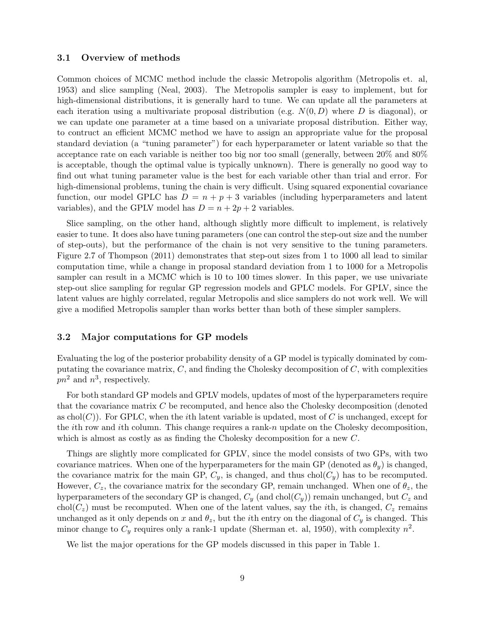#### 3.1 Overview of methods

Common choices of MCMC method include the classic Metropolis algorithm (Metropolis et. al, 1953) and slice sampling (Neal, 2003). The Metropolis sampler is easy to implement, but for high-dimensional distributions, it is generally hard to tune. We can update all the parameters at each iteration using a multivariate proposal distribution (e.g.  $N(0, D)$ ) where D is diagonal), or we can update one parameter at a time based on a univariate proposal distribution. Either way, to contruct an efficient MCMC method we have to assign an appropriate value for the proposal standard deviation (a "tuning parameter") for each hyperparameter or latent variable so that the acceptance rate on each variable is neither too big nor too small (generally, between 20% and 80% is acceptable, though the optimal value is typically unknown). There is generally no good way to find out what tuning parameter value is the best for each variable other than trial and error. For high-dimensional problems, tuning the chain is very difficult. Using squared exponential covariance function, our model GPLC has  $D = n + p + 3$  variables (including hyperparameters and latent variables), and the GPLV model has  $D = n + 2p + 2$  variables.

Slice sampling, on the other hand, although slightly more difficult to implement, is relatively easier to tune. It does also have tuning parameters (one can control the step-out size and the number of step-outs), but the performance of the chain is not very sensitive to the tuning parameters. Figure 2.7 of Thompson (2011) demonstrates that step-out sizes from 1 to 1000 all lead to similar computation time, while a change in proposal standard deviation from 1 to 1000 for a Metropolis sampler can result in a MCMC which is 10 to 100 times slower. In this paper, we use univariate step-out slice sampling for regular GP regression models and GPLC models. For GPLV, since the latent values are highly correlated, regular Metropolis and slice samplers do not work well. We will give a modified Metropolis sampler than works better than both of these simpler samplers.

#### 3.2 Major computations for GP models

Evaluating the log of the posterior probability density of a GP model is typically dominated by computating the covariance matrix,  $C$ , and finding the Cholesky decomposition of  $C$ , with complexities  $pn^2$  and  $n^3$ , respectively.

For both standard GP models and GPLV models, updates of most of the hyperparameters require that the covariance matrix  $C$  be recomputed, and hence also the Cholesky decomposition (denoted as chol(C)). For GPLC, when the *i*th latent variable is updated, most of C is unchanged, except for the *i*th row and *i*th column. This change requires a rank-n update on the Cholesky decomposition, which is almost as costly as as finding the Cholesky decomposition for a new C.

Things are slightly more complicated for GPLV, since the model consists of two GPs, with two covariance matrices. When one of the hyperparameters for the main GP (denoted as  $\theta_y$ ) is changed, the covariance matrix for the main GP,  $C_y$ , is changed, and thus chol( $C_y$ ) has to be recomputed. However,  $C_z$ , the covariance matrix for the secondary GP, remain unchanged. When one of  $\theta_z$ , the hyperparameters of the secondary GP is changed,  $C_y$  (and chol $(C_y)$ ) remain unchanged, but  $C_z$  and  $\text{chol}(C_z)$  must be recomputed. When one of the latent values, say the *i*th, is changed,  $C_z$  remains unchanged as it only depends on x and  $\theta_z$ , but the *i*th entry on the diagonal of  $C_y$  is changed. This minor change to  $C_y$  requires only a rank-1 update (Sherman et. al, 1950), with complexity  $n^2$ .

We list the major operations for the GP models discussed in this paper in Table 1.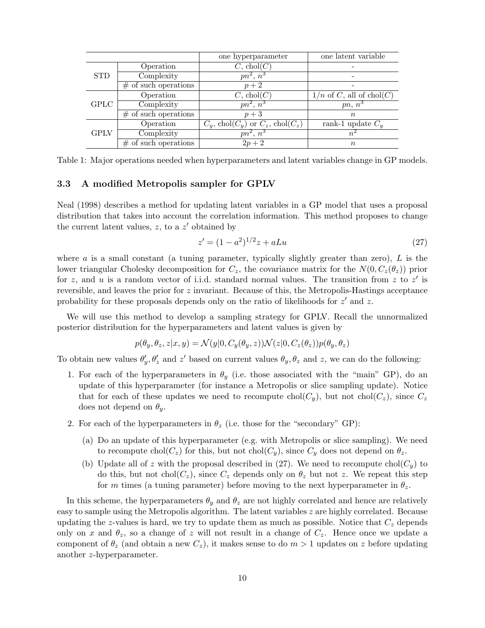|             |                         | one hyperparameter                           | one latent variable        |  |
|-------------|-------------------------|----------------------------------------------|----------------------------|--|
| <b>STD</b>  | Operation               | $C, \text{chol}(C)$                          |                            |  |
|             | Complexity              | $pn^2, n^3$                                  |                            |  |
|             | $#$ of such operations  | $p+2$                                        |                            |  |
| <b>GPLC</b> | Operation               | $C, \text{chol}(C)$                          | $1/n$ of C, all of chol(C) |  |
|             | Complexity              | $\overline{pn^2, n^3}$                       | $pn, n^3$                  |  |
|             | $#$ of such operations  | $p+3$                                        | $\, n$                     |  |
| <b>GPLV</b> | Operation               | $C_y$ , chol $(C_y)$ or $C_z$ , chol $(C_z)$ | rank-1 update $C_u$        |  |
|             | Complexity              | $pn^2, n^3$                                  | $n^{\epsilon}$             |  |
|             | $\#$ of such operations | $2p + 2$                                     | $\, n$                     |  |

Table 1: Major operations needed when hyperparameters and latent variables change in GP models.

#### 3.3 A modified Metropolis sampler for GPLV

Neal (1998) describes a method for updating latent variables in a GP model that uses a proposal distribution that takes into account the correlation information. This method proposes to change the current latent values,  $z$ , to a  $z'$  obtained by

$$
z' = (1 - a^2)^{1/2} z + aLu \tag{27}
$$

where  $\alpha$  is a small constant (a tuning parameter, typically slightly greater than zero),  $L$  is the lower triangular Cholesky decomposition for  $C_z$ , the covariance matrix for the  $N(0, C_z(\theta_z))$  prior for z, and u is a random vector of i.i.d. standard normal values. The transition from z to z' is reversible, and leaves the prior for  $z$  invariant. Because of this, the Metropolis-Hastings acceptance probability for these proposals depends only on the ratio of likelihoods for  $z'$  and z.

We will use this method to develop a sampling strategy for GPLV. Recall the unnormalized posterior distribution for the hyperparameters and latent values is given by

$$
p(\theta_y, \theta_z, z | x, y) = \mathcal{N}(y | 0, C_y(\theta_y, z)) \mathcal{N}(z | 0, C_z(\theta_z)) p(\theta_y, \theta_z)
$$

To obtain new values  $\theta'_y$ ,  $\theta'_z$  and z' based on current values  $\theta_y$ ,  $\theta_z$  and z, we can do the following:

- 1. For each of the hyperparameters in  $\theta_y$  (i.e. those associated with the "main" GP), do an update of this hyperparameter (for instance a Metropolis or slice sampling update). Notice that for each of these updates we need to recompute chol( $C_y$ ), but not chol( $C_z$ ), since  $C_z$ does not depend on  $\theta_y$ .
- 2. For each of the hyperparameters in  $\theta_z$  (i.e. those for the "secondary" GP):
	- (a) Do an update of this hyperparameter (e.g. with Metropolis or slice sampling). We need to recompute chol( $C_z$ ) for this, but not chol( $C_y$ ), since  $C_y$  does not depend on  $\theta_z$ .
	- (b) Update all of z with the proposal described in (27). We need to recompute chol( $C_y$ ) to do this, but not chol( $C_z$ ), since  $C_z$  depends only on  $\theta_z$  but not z. We repeat this step for m times (a tuning parameter) before moving to the next hyperparameter in  $\theta_z$ .

In this scheme, the hyperparameters  $\theta_y$  and  $\theta_z$  are not highly correlated and hence are relatively easy to sample using the Metropolis algorithm. The latent variables z are highly correlated. Because updating the z-values is hard, we try to update them as much as possible. Notice that  $C_z$  depends only on x and  $\theta_z$ , so a change of z will not result in a change of  $C_z$ . Hence once we update a component of  $\theta_z$  (and obtain a new  $C_z$ ), it makes sense to do  $m > 1$  updates on z before updating another z-hyperparameter.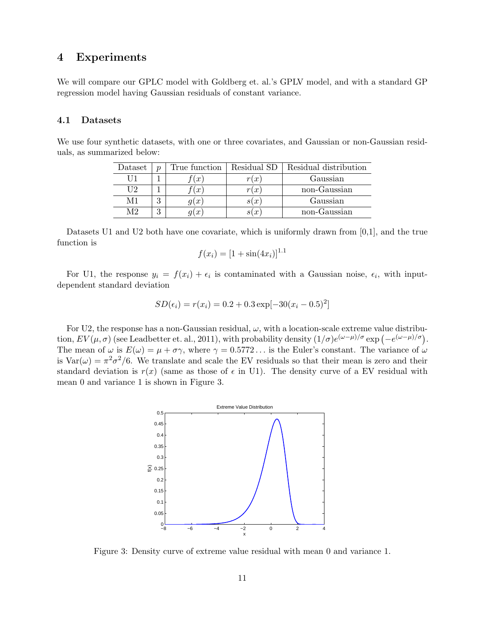## 4 Experiments

We will compare our GPLC model with Goldberg et. al.'s GPLV model, and with a standard GP regression model having Gaussian residuals of constant variance.

#### 4.1 Datasets

We use four synthetic datasets, with one or three covariates, and Gaussian or non-Gaussian residuals, as summarized below:

| Dataset | $\boldsymbol{\eta}$ | True function | Residual SD     | Residual distribution |
|---------|---------------------|---------------|-----------------|-----------------------|
|         |                     | (x,           | $\cdot x$       | Gaussian              |
| ГſЭ     |                     | (x)           | $\cdot x$       | non-Gaussian          |
| M 1     | റ                   | q(x)          | s(x)            | Gaussian              |
| M9      | ິ                   | q(x)          | $\cdot x$<br>st | non-Gaussian          |

Datasets U1 and U2 both have one covariate, which is uniformly drawn from [0,1], and the true function is

$$
f(x_i) = [1 + \sin(4x_i)]^{1.1}
$$

For U1, the response  $y_i = f(x_i) + \epsilon_i$  is contaminated with a Gaussian noise,  $\epsilon_i$ , with inputdependent standard deviation

$$
SD(\epsilon_i) = r(x_i) = 0.2 + 0.3 \exp[-30(x_i - 0.5)^2]
$$

For U2, the response has a non-Gaussian residual,  $\omega$ , with a location-scale extreme value distribution,  $EV(\mu, \sigma)$  (see Leadbetter et. al., 2011), with probability density  $(1/\sigma)e^{(\omega-\mu)/\sigma}$  exp  $(-e^{(\omega-\mu)/\sigma})$ . The mean of  $\omega$  is  $E(\omega) = \mu + \sigma \gamma$ , where  $\gamma = 0.5772...$  is the Euler's constant. The variance of  $\omega$ is  $Var(\omega) = \pi^2 \sigma^2/6$ . We translate and scale the EV residuals so that their mean is zero and their standard deviation is  $r(x)$  (same as those of  $\epsilon$  in U1). The density curve of a EV residual with mean 0 and variance 1 is shown in Figure 3.



Figure 3: Density curve of extreme value residual with mean 0 and variance 1.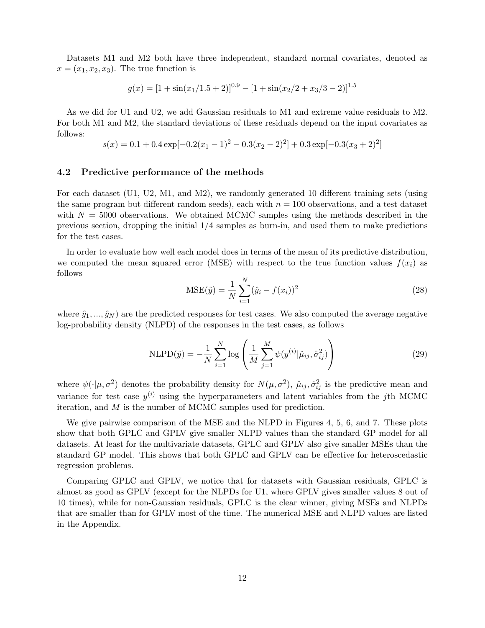Datasets M1 and M2 both have three independent, standard normal covariates, denoted as  $x = (x_1, x_2, x_3)$ . The true function is

$$
g(x) = [1 + \sin(x_1/1.5 + 2)]^{0.9} - [1 + \sin(x_2/2 + x_3/3 - 2)]^{1.5}
$$

As we did for U1 and U2, we add Gaussian residuals to M1 and extreme value residuals to M2. For both M1 and M2, the standard deviations of these residuals depend on the input covariates as follows:

$$
s(x) = 0.1 + 0.4 \exp[-0.2(x_1 - 1)^2 - 0.3(x_2 - 2)^2] + 0.3 \exp[-0.3(x_3 + 2)^2]
$$

#### 4.2 Predictive performance of the methods

For each dataset (U1, U2, M1, and M2), we randomly generated 10 different training sets (using the same program but different random seeds), each with  $n = 100$  observations, and a test dataset with  $N = 5000$  observations. We obtained MCMC samples using the methods described in the previous section, dropping the initial 1/4 samples as burn-in, and used them to make predictions for the test cases.

In order to evaluate how well each model does in terms of the mean of its predictive distribution, we computed the mean squared error (MSE) with respect to the true function values  $f(x_i)$  as follows

$$
MSE(\hat{y}) = \frac{1}{N} \sum_{i=1}^{N} (\hat{y}_i - f(x_i))^2
$$
\n(28)

where  $\hat{y}_1, \ldots, \hat{y}_N$  are the predicted responses for test cases. We also computed the average negative log-probability density (NLPD) of the responses in the test cases, as follows

NLPD(
$$
\hat{y}
$$
) =  $-\frac{1}{N} \sum_{i=1}^{N} \log \left( \frac{1}{M} \sum_{j=1}^{M} \psi(y^{(i)} | \hat{\mu}_{ij}, \hat{\sigma}_{ij}^2) \right)$  (29)

where  $\psi(\cdot|\mu, \sigma^2)$  denotes the probability density for  $N(\mu, \sigma^2)$ ,  $\hat{\mu}_{ij}, \hat{\sigma}_{ij}^2$  is the predictive mean and variance for test case  $y^{(i)}$  using the hyperparameters and latent variables from the jth MCMC iteration, and M is the number of MCMC samples used for prediction.

We give pairwise comparison of the MSE and the NLPD in Figures 4, 5, 6, and 7. These plots show that both GPLC and GPLV give smaller NLPD values than the standard GP model for all datasets. At least for the multivariate datasets, GPLC and GPLV also give smaller MSEs than the standard GP model. This shows that both GPLC and GPLV can be effective for heteroscedastic regression problems.

Comparing GPLC and GPLV, we notice that for datasets with Gaussian residuals, GPLC is almost as good as GPLV (except for the NLPDs for U1, where GPLV gives smaller values 8 out of 10 times), while for non-Gaussian residuals, GPLC is the clear winner, giving MSEs and NLPDs that are smaller than for GPLV most of the time. The numerical MSE and NLPD values are listed in the Appendix.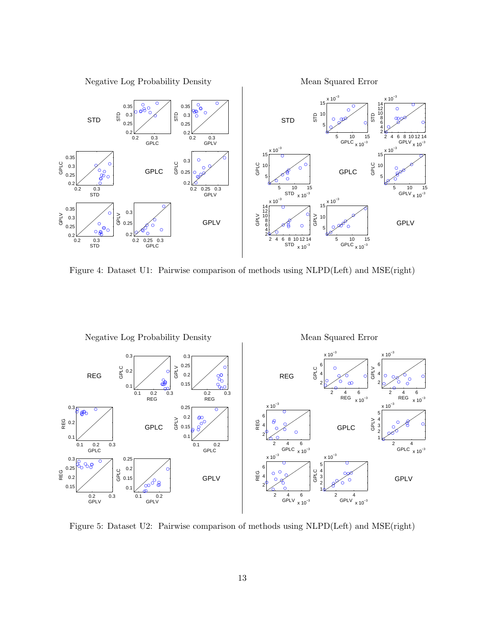

Figure 4: Dataset U1: Pairwise comparison of methods using NLPD(Left) and MSE(right)



Figure 5: Dataset U2: Pairwise comparison of methods using NLPD(Left) and MSE(right)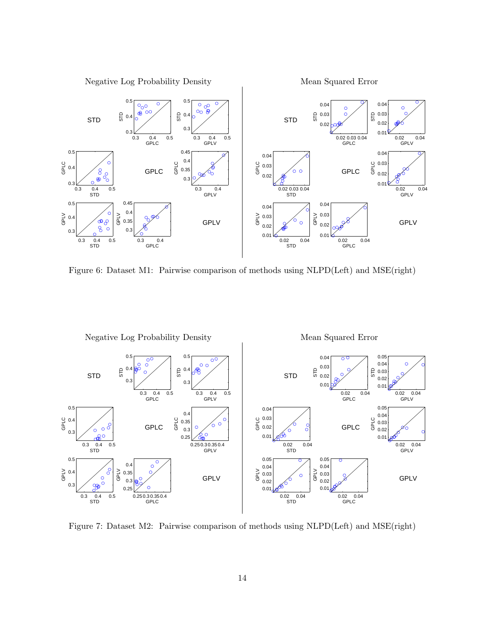

Figure 6: Dataset M1: Pairwise comparison of methods using NLPD(Left) and MSE(right)



Figure 7: Dataset M2: Pairwise comparison of methods using NLPD(Left) and MSE(right)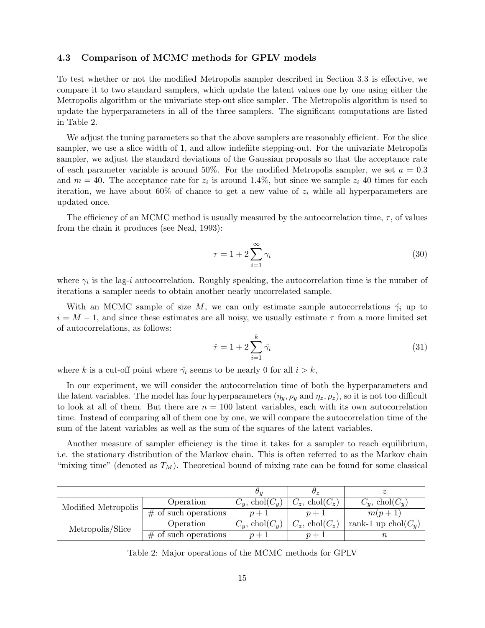#### 4.3 Comparison of MCMC methods for GPLV models

To test whether or not the modified Metropolis sampler described in Section 3.3 is effective, we compare it to two standard samplers, which update the latent values one by one using either the Metropolis algorithm or the univariate step-out slice sampler. The Metropolis algorithm is used to update the hyperparameters in all of the three samplers. The significant computations are listed in Table 2.

We adjust the tuning parameters so that the above samplers are reasonably efficient. For the slice sampler, we use a slice width of 1, and allow indefiite stepping-out. For the univariate Metropolis sampler, we adjust the standard deviations of the Gaussian proposals so that the acceptance rate of each parameter variable is around 50%. For the modified Metropolis sampler, we set  $a = 0.3$ and  $m = 40$ . The acceptance rate for  $z_i$  is around 1.4%, but since we sample  $z_i$  40 times for each iteration, we have about 60% of chance to get a new value of  $z_i$  while all hyperparameters are updated once.

The efficiency of an MCMC method is usually measured by the autocorrelation time,  $\tau$ , of values from the chain it produces (see Neal, 1993):

$$
\tau = 1 + 2 \sum_{i=1}^{\infty} \gamma_i \tag{30}
$$

where  $\gamma_i$  is the lag-*i* autocorrelation. Roughly speaking, the autocorrelation time is the number of iterations a sampler needs to obtain another nearly uncorrelated sample.

With an MCMC sample of size M, we can only estimate sample autocorrelations  $\hat{\gamma}_i$  up to  $i = M - 1$ , and since these estimates are all noisy, we usually estimate  $\tau$  from a more limited set of autocorrelations, as follows:

$$
\hat{\tau} = 1 + 2 \sum_{i=1}^{k} \hat{\gamma}_i \tag{31}
$$

where k is a cut-off point where  $\hat{\gamma}_i$  seems to be nearly 0 for all  $i > k$ ,

In our experiment, we will consider the autocorrelation time of both the hyperparameters and the latent variables. The model has four hyperparameters  $(\eta_y, \rho_y \text{ and } \eta_z, \rho_z)$ , so it is not too difficult to look at all of them. But there are  $n = 100$  latent variables, each with its own autocorrelation time. Instead of comparing all of them one by one, we will compare the autocorrelation time of the sum of the latent variables as well as the sum of the squares of the latent variables.

Another measure of sampler efficiency is the time it takes for a sampler to reach equilibrium, i.e. the stationary distribution of the Markov chain. This is often referred to as the Markov chain "mixing time" (denoted as  $T_M$ ). Theoretical bound of mixing rate can be found for some classical

|                     |                         | $\sigma_{ii}$        | H ~                  |                        |
|---------------------|-------------------------|----------------------|----------------------|------------------------|
| Modified Metropolis | Operation               | $C_y$ , chol $(C_y)$ | $C_z$ , chol $(C_z)$ | $C_y$ , chol $(C_y)$   |
|                     | $\#$ of such operations | $n+1$                | $p+1$                | $m(p+1)$               |
| Metropolis/Slice    | Operation               | $C_y$ , chol $(C_y)$ | $C_z$ , chol $(C_z)$ | rank-1 up chol $(C_u)$ |
|                     | $\#$ of such operations |                      |                      |                        |

Table 2: Major operations of the MCMC methods for GPLV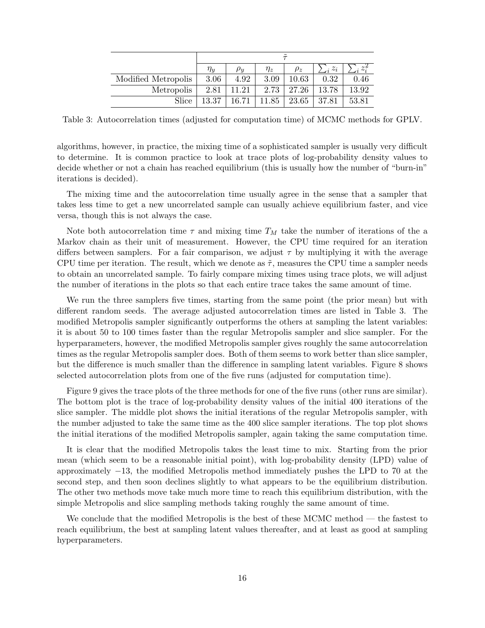|                     | $\tilde{\phantom{a}}$ |            |          |          |       |       |  |
|---------------------|-----------------------|------------|----------|----------|-------|-------|--|
|                     | $\eta_{u}$            | $\rho_{u}$ | $\eta_z$ | $\rho_z$ | $z_i$ | $z^2$ |  |
| Modified Metropolis | 3.06                  | 4.92       | 3.09     | 10.63    | 0.32  | 0.46  |  |
| Metropolis          | 2.81                  | 11.21      | 2.73     | 27.26    | 13.78 | 13.92 |  |
| Slice               | 13.37                 | 16.71      | 11.85    | 23.65    | 37.81 | 53.81 |  |

Table 3: Autocorrelation times (adjusted for computation time) of MCMC methods for GPLV.

algorithms, however, in practice, the mixing time of a sophisticated sampler is usually very difficult to determine. It is common practice to look at trace plots of log-probability density values to decide whether or not a chain has reached equilibrium (this is usually how the number of "burn-in" iterations is decided).

The mixing time and the autocorrelation time usually agree in the sense that a sampler that takes less time to get a new uncorrelated sample can usually achieve equilibrium faster, and vice versa, though this is not always the case.

Note both autocorrelation time  $\tau$  and mixing time  $T_M$  take the number of iterations of the a Markov chain as their unit of measurement. However, the CPU time required for an iteration differs between samplers. For a fair comparison, we adjust  $\tau$  by multiplying it with the average CPU time per iteration. The result, which we denote as  $\tilde{\tau}$ , measures the CPU time a sampler needs to obtain an uncorrelated sample. To fairly compare mixing times using trace plots, we will adjust the number of iterations in the plots so that each entire trace takes the same amount of time.

We run the three samplers five times, starting from the same point (the prior mean) but with different random seeds. The average adjusted autocorrelation times are listed in Table 3. The modified Metropolis sampler significantly outperforms the others at sampling the latent variables: it is about 50 to 100 times faster than the regular Metropolis sampler and slice sampler. For the hyperparameters, however, the modified Metropolis sampler gives roughly the same autocorrelation times as the regular Metropolis sampler does. Both of them seems to work better than slice sampler, but the difference is much smaller than the difference in sampling latent variables. Figure 8 shows selected autocorrelation plots from one of the five runs (adjusted for computation time).

Figure 9 gives the trace plots of the three methods for one of the five runs (other runs are similar). The bottom plot is the trace of log-probability density values of the initial 400 iterations of the slice sampler. The middle plot shows the initial iterations of the regular Metropolis sampler, with the number adjusted to take the same time as the 400 slice sampler iterations. The top plot shows the initial iterations of the modified Metropolis sampler, again taking the same computation time.

It is clear that the modified Metropolis takes the least time to mix. Starting from the prior mean (which seem to be a reasonable initial point), with log-probability density (LPD) value of approximately −13, the modified Metropolis method immediately pushes the LPD to 70 at the second step, and then soon declines slightly to what appears to be the equilibrium distribution. The other two methods move take much more time to reach this equilibrium distribution, with the simple Metropolis and slice sampling methods taking roughly the same amount of time.

We conclude that the modified Metropolis is the best of these MCMC method — the fastest to reach equilibrium, the best at sampling latent values thereafter, and at least as good at sampling hyperparameters.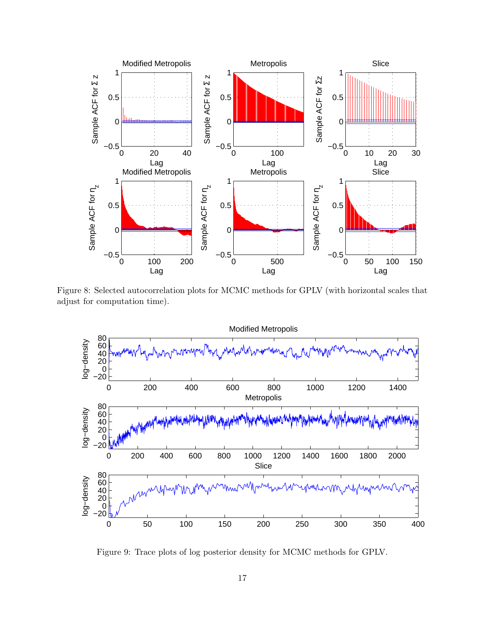

Figure 8: Selected autocorrelation plots for MCMC methods for GPLV (with horizontal scales that adjust for computation time).



Figure 9: Trace plots of log posterior density for MCMC methods for GPLV.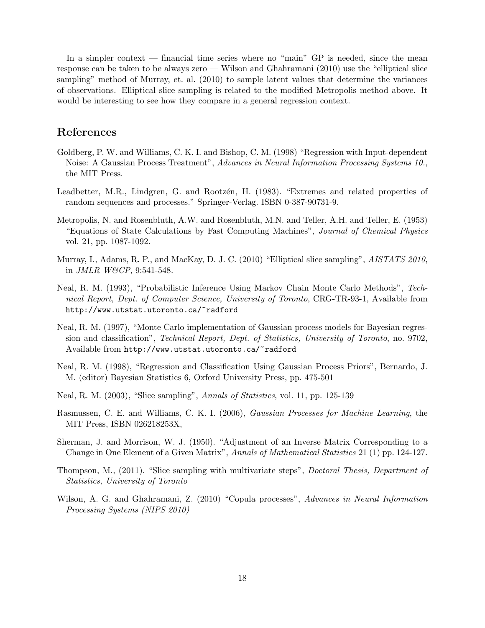In a simpler context — financial time series where no "main" GP is needed, since the mean response can be taken to be always zero — Wilson and Ghahramani (2010) use the "elliptical slice sampling" method of Murray, et. al. (2010) to sample latent values that determine the variances of observations. Elliptical slice sampling is related to the modified Metropolis method above. It would be interesting to see how they compare in a general regression context.

## References

- Goldberg, P. W. and Williams, C. K. I. and Bishop, C. M. (1998) "Regression with Input-dependent Noise: A Gaussian Process Treatment", Advances in Neural Information Processing Systems 10., the MIT Press.
- Leadbetter, M.R., Lindgren, G. and Rootzen, H. (1983). "Extremes and related properties of random sequences and processes." Springer-Verlag. ISBN 0-387-90731-9.
- Metropolis, N. and Rosenbluth, A.W. and Rosenbluth, M.N. and Teller, A.H. and Teller, E. (1953) "Equations of State Calculations by Fast Computing Machines", Journal of Chemical Physics vol. 21, pp. 1087-1092.
- Murray, I., Adams, R. P., and MacKay, D. J. C. (2010) "Elliptical slice sampling", AISTATS 2010, in JMLR W&CP, 9:541-548.
- Neal, R. M. (1993), "Probabilistic Inference Using Markov Chain Monte Carlo Methods", Technical Report, Dept. of Computer Science, University of Toronto, CRG-TR-93-1, Available from http://www.utstat.utoronto.ca/~radford
- Neal, R. M. (1997), "Monte Carlo implementation of Gaussian process models for Bayesian regression and classification", Technical Report, Dept. of Statistics, University of Toronto, no. 9702, Available from http://www.utstat.utoronto.ca/~radford
- Neal, R. M. (1998), "Regression and Classification Using Gaussian Process Priors", Bernardo, J. M. (editor) Bayesian Statistics 6, Oxford University Press, pp. 475-501
- Neal, R. M. (2003), "Slice sampling", Annals of Statistics, vol. 11, pp. 125-139
- Rasmussen, C. E. and Williams, C. K. I. (2006), Gaussian Processes for Machine Learning, the MIT Press, ISBN 026218253X,
- Sherman, J. and Morrison, W. J. (1950). "Adjustment of an Inverse Matrix Corresponding to a Change in One Element of a Given Matrix", Annals of Mathematical Statistics 21 (1) pp. 124-127.
- Thompson, M., (2011). "Slice sampling with multivariate steps", Doctoral Thesis, Department of Statistics, University of Toronto
- Wilson, A. G. and Ghahramani, Z. (2010) "Copula processes", Advances in Neural Information Processing Systems (NIPS 2010)